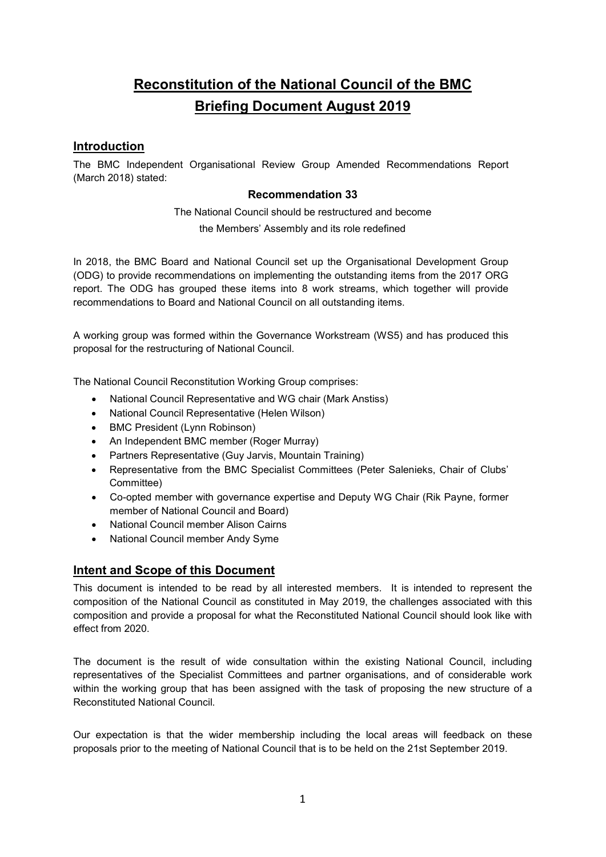# Reconstitution of the National Council of the BMC Briefing Document August 2019

## **Introduction**

The BMC Independent Organisational Review Group Amended Recommendations Report (March 2018) stated:

#### Recommendation 33

The National Council should be restructured and become the Members' Assembly and its role redefined

In 2018, the BMC Board and National Council set up the Organisational Development Group (ODG) to provide recommendations on implementing the outstanding items from the 2017 ORG report. The ODG has grouped these items into 8 work streams, which together will provide recommendations to Board and National Council on all outstanding items.

A working group was formed within the Governance Workstream (WS5) and has produced this proposal for the restructuring of National Council.

The National Council Reconstitution Working Group comprises:

- National Council Representative and WG chair (Mark Anstiss)
- National Council Representative (Helen Wilson)
- BMC President (Lynn Robinson)
- An Independent BMC member (Roger Murray)
- Partners Representative (Guy Jarvis, Mountain Training)
- Representative from the BMC Specialist Committees (Peter Salenieks, Chair of Clubs' Committee)
- Co-opted member with governance expertise and Deputy WG Chair (Rik Payne, former member of National Council and Board)
- National Council member Alison Cairns
- National Council member Andy Syme

# Intent and Scope of this Document

This document is intended to be read by all interested members. It is intended to represent the composition of the National Council as constituted in May 2019, the challenges associated with this composition and provide a proposal for what the Reconstituted National Council should look like with effect from 2020.

The document is the result of wide consultation within the existing National Council, including representatives of the Specialist Committees and partner organisations, and of considerable work within the working group that has been assigned with the task of proposing the new structure of a Reconstituted National Council.

Our expectation is that the wider membership including the local areas will feedback on these proposals prior to the meeting of National Council that is to be held on the 21st September 2019.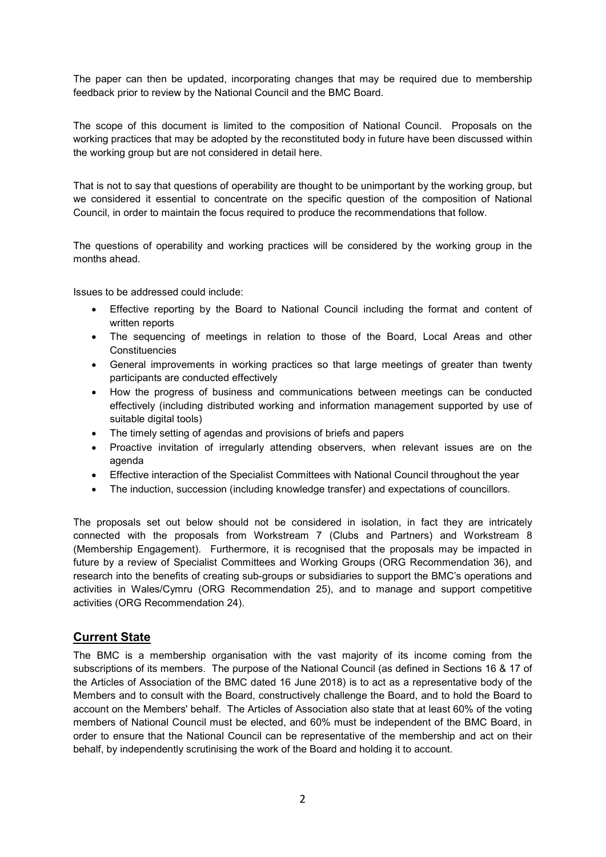The paper can then be updated, incorporating changes that may be required due to membership feedback prior to review by the National Council and the BMC Board.

The scope of this document is limited to the composition of National Council. Proposals on the working practices that may be adopted by the reconstituted body in future have been discussed within the working group but are not considered in detail here.

That is not to say that questions of operability are thought to be unimportant by the working group, but we considered it essential to concentrate on the specific question of the composition of National Council, in order to maintain the focus required to produce the recommendations that follow.

The questions of operability and working practices will be considered by the working group in the months ahead.

Issues to be addressed could include:

- Effective reporting by the Board to National Council including the format and content of written reports
- The sequencing of meetings in relation to those of the Board, Local Areas and other **Constituencies**
- General improvements in working practices so that large meetings of greater than twenty participants are conducted effectively
- How the progress of business and communications between meetings can be conducted effectively (including distributed working and information management supported by use of suitable digital tools)
- The timely setting of agendas and provisions of briefs and papers
- Proactive invitation of irregularly attending observers, when relevant issues are on the agenda
- Effective interaction of the Specialist Committees with National Council throughout the year
- The induction, succession (including knowledge transfer) and expectations of councillors.

The proposals set out below should not be considered in isolation, in fact they are intricately connected with the proposals from Workstream 7 (Clubs and Partners) and Workstream 8 (Membership Engagement). Furthermore, it is recognised that the proposals may be impacted in future by a review of Specialist Committees and Working Groups (ORG Recommendation 36), and research into the benefits of creating sub-groups or subsidiaries to support the BMC's operations and activities in Wales/Cymru (ORG Recommendation 25), and to manage and support competitive activities (ORG Recommendation 24).

# Current State

The BMC is a membership organisation with the vast majority of its income coming from the subscriptions of its members. The purpose of the National Council (as defined in Sections 16 & 17 of the Articles of Association of the BMC dated 16 June 2018) is to act as a representative body of the Members and to consult with the Board, constructively challenge the Board, and to hold the Board to account on the Members' behalf. The Articles of Association also state that at least 60% of the voting members of National Council must be elected, and 60% must be independent of the BMC Board, in order to ensure that the National Council can be representative of the membership and act on their behalf, by independently scrutinising the work of the Board and holding it to account.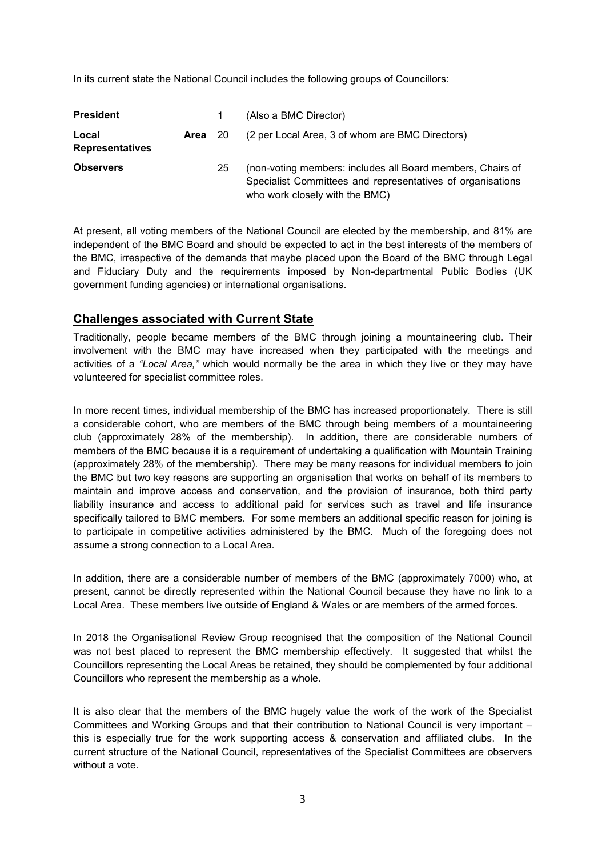In its current state the National Council includes the following groups of Councillors:

| <b>President</b>                |         | 1  | (Also a BMC Director)                                                                                                                                      |
|---------------------------------|---------|----|------------------------------------------------------------------------------------------------------------------------------------------------------------|
| Local<br><b>Representatives</b> | Area 20 |    | (2 per Local Area, 3 of whom are BMC Directors)                                                                                                            |
| <b>Observers</b>                |         | 25 | (non-voting members: includes all Board members, Chairs of<br>Specialist Committees and representatives of organisations<br>who work closely with the BMC) |

At present, all voting members of the National Council are elected by the membership, and 81% are independent of the BMC Board and should be expected to act in the best interests of the members of the BMC, irrespective of the demands that maybe placed upon the Board of the BMC through Legal and Fiduciary Duty and the requirements imposed by Non-departmental Public Bodies (UK government funding agencies) or international organisations.

#### Challenges associated with Current State

Traditionally, people became members of the BMC through joining a mountaineering club. Their involvement with the BMC may have increased when they participated with the meetings and activities of a "Local Area," which would normally be the area in which they live or they may have volunteered for specialist committee roles.

In more recent times, individual membership of the BMC has increased proportionately. There is still a considerable cohort, who are members of the BMC through being members of a mountaineering club (approximately 28% of the membership). In addition, there are considerable numbers of members of the BMC because it is a requirement of undertaking a qualification with Mountain Training (approximately 28% of the membership). There may be many reasons for individual members to join the BMC but two key reasons are supporting an organisation that works on behalf of its members to maintain and improve access and conservation, and the provision of insurance, both third party liability insurance and access to additional paid for services such as travel and life insurance specifically tailored to BMC members. For some members an additional specific reason for joining is to participate in competitive activities administered by the BMC. Much of the foregoing does not assume a strong connection to a Local Area.

In addition, there are a considerable number of members of the BMC (approximately 7000) who, at present, cannot be directly represented within the National Council because they have no link to a Local Area. These members live outside of England & Wales or are members of the armed forces.

In 2018 the Organisational Review Group recognised that the composition of the National Council was not best placed to represent the BMC membership effectively. It suggested that whilst the Councillors representing the Local Areas be retained, they should be complemented by four additional Councillors who represent the membership as a whole.

It is also clear that the members of the BMC hugely value the work of the work of the Specialist Committees and Working Groups and that their contribution to National Council is very important – this is especially true for the work supporting access & conservation and affiliated clubs. In the current structure of the National Council, representatives of the Specialist Committees are observers without a vote.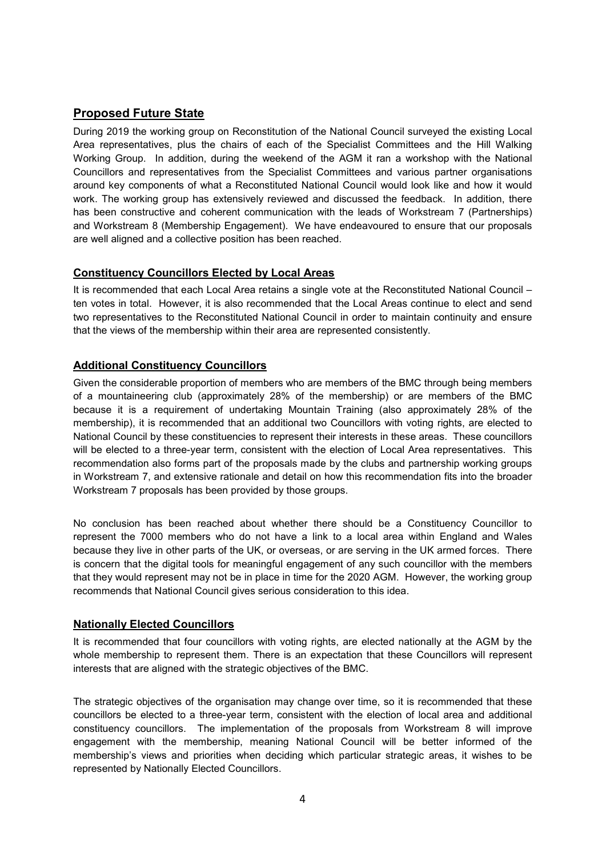# Proposed Future State

During 2019 the working group on Reconstitution of the National Council surveyed the existing Local Area representatives, plus the chairs of each of the Specialist Committees and the Hill Walking Working Group. In addition, during the weekend of the AGM it ran a workshop with the National Councillors and representatives from the Specialist Committees and various partner organisations around key components of what a Reconstituted National Council would look like and how it would work. The working group has extensively reviewed and discussed the feedback. In addition, there has been constructive and coherent communication with the leads of Workstream 7 (Partnerships) and Workstream 8 (Membership Engagement). We have endeavoured to ensure that our proposals are well aligned and a collective position has been reached.

## Constituency Councillors Elected by Local Areas

It is recommended that each Local Area retains a single vote at the Reconstituted National Council – ten votes in total. However, it is also recommended that the Local Areas continue to elect and send two representatives to the Reconstituted National Council in order to maintain continuity and ensure that the views of the membership within their area are represented consistently.

## Additional Constituency Councillors

Given the considerable proportion of members who are members of the BMC through being members of a mountaineering club (approximately 28% of the membership) or are members of the BMC because it is a requirement of undertaking Mountain Training (also approximately 28% of the membership), it is recommended that an additional two Councillors with voting rights, are elected to National Council by these constituencies to represent their interests in these areas. These councillors will be elected to a three-year term, consistent with the election of Local Area representatives. This recommendation also forms part of the proposals made by the clubs and partnership working groups in Workstream 7, and extensive rationale and detail on how this recommendation fits into the broader Workstream 7 proposals has been provided by those groups.

No conclusion has been reached about whether there should be a Constituency Councillor to represent the 7000 members who do not have a link to a local area within England and Wales because they live in other parts of the UK, or overseas, or are serving in the UK armed forces. There is concern that the digital tools for meaningful engagement of any such councillor with the members that they would represent may not be in place in time for the 2020 AGM. However, the working group recommends that National Council gives serious consideration to this idea.

#### Nationally Elected Councillors

It is recommended that four councillors with voting rights, are elected nationally at the AGM by the whole membership to represent them. There is an expectation that these Councillors will represent interests that are aligned with the strategic objectives of the BMC.

The strategic objectives of the organisation may change over time, so it is recommended that these councillors be elected to a three-year term, consistent with the election of local area and additional constituency councillors. The implementation of the proposals from Workstream 8 will improve engagement with the membership, meaning National Council will be better informed of the membership's views and priorities when deciding which particular strategic areas, it wishes to be represented by Nationally Elected Councillors.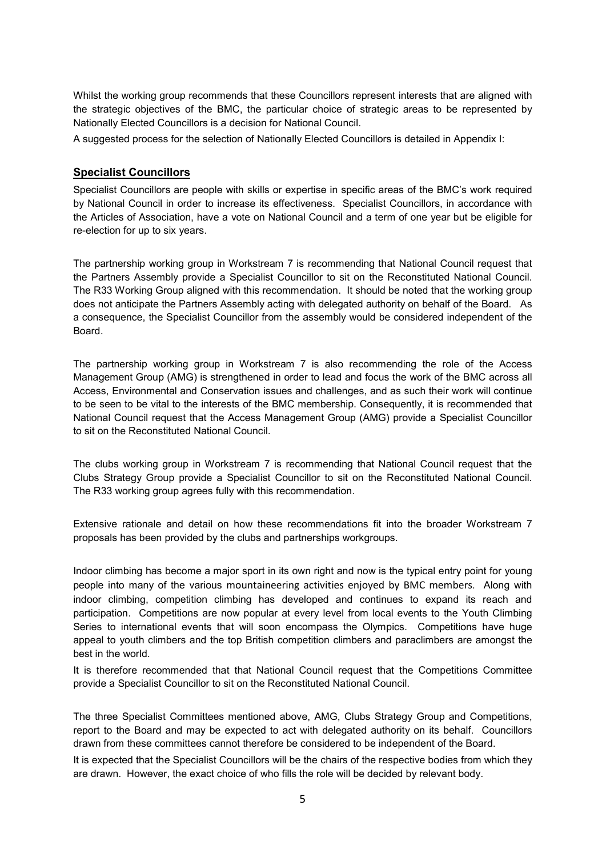Whilst the working group recommends that these Councillors represent interests that are aligned with the strategic objectives of the BMC, the particular choice of strategic areas to be represented by Nationally Elected Councillors is a decision for National Council.

A suggested process for the selection of Nationally Elected Councillors is detailed in Appendix I:

#### Specialist Councillors

Specialist Councillors are people with skills or expertise in specific areas of the BMC's work required by National Council in order to increase its effectiveness. Specialist Councillors, in accordance with the Articles of Association, have a vote on National Council and a term of one year but be eligible for re-election for up to six years.

The partnership working group in Workstream 7 is recommending that National Council request that the Partners Assembly provide a Specialist Councillor to sit on the Reconstituted National Council. The R33 Working Group aligned with this recommendation. It should be noted that the working group does not anticipate the Partners Assembly acting with delegated authority on behalf of the Board. As a consequence, the Specialist Councillor from the assembly would be considered independent of the Board.

The partnership working group in Workstream 7 is also recommending the role of the Access Management Group (AMG) is strengthened in order to lead and focus the work of the BMC across all Access, Environmental and Conservation issues and challenges, and as such their work will continue to be seen to be vital to the interests of the BMC membership. Consequently, it is recommended that National Council request that the Access Management Group (AMG) provide a Specialist Councillor to sit on the Reconstituted National Council.

The clubs working group in Workstream 7 is recommending that National Council request that the Clubs Strategy Group provide a Specialist Councillor to sit on the Reconstituted National Council. The R33 working group agrees fully with this recommendation.

Extensive rationale and detail on how these recommendations fit into the broader Workstream 7 proposals has been provided by the clubs and partnerships workgroups.

Indoor climbing has become a major sport in its own right and now is the typical entry point for young people into many of the various mountaineering activities enjoyed by BMC members. Along with indoor climbing, competition climbing has developed and continues to expand its reach and participation. Competitions are now popular at every level from local events to the Youth Climbing Series to international events that will soon encompass the Olympics. Competitions have huge appeal to youth climbers and the top British competition climbers and paraclimbers are amongst the best in the world.

It is therefore recommended that that National Council request that the Competitions Committee provide a Specialist Councillor to sit on the Reconstituted National Council.

The three Specialist Committees mentioned above, AMG, Clubs Strategy Group and Competitions, report to the Board and may be expected to act with delegated authority on its behalf. Councillors drawn from these committees cannot therefore be considered to be independent of the Board.

It is expected that the Specialist Councillors will be the chairs of the respective bodies from which they are drawn. However, the exact choice of who fills the role will be decided by relevant body.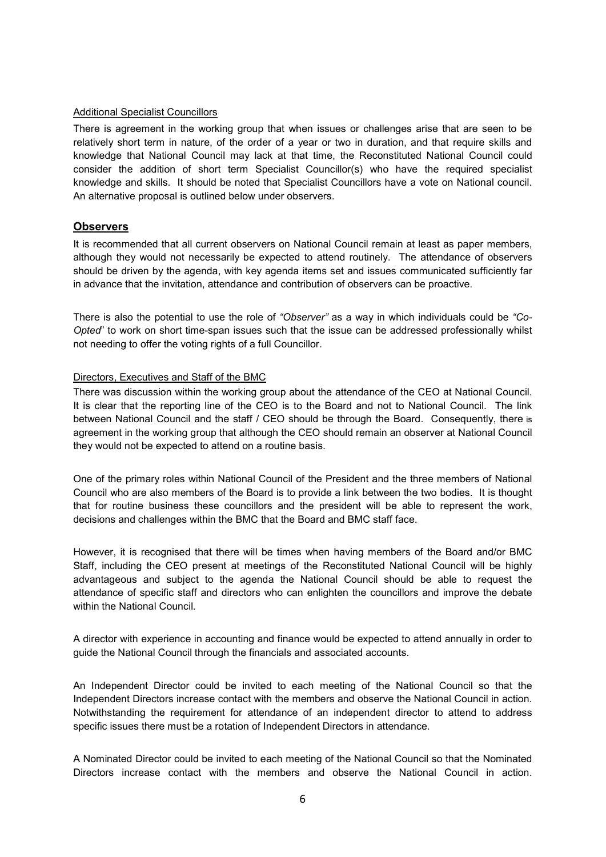#### Additional Specialist Councillors

There is agreement in the working group that when issues or challenges arise that are seen to be relatively short term in nature, of the order of a year or two in duration, and that require skills and knowledge that National Council may lack at that time, the Reconstituted National Council could consider the addition of short term Specialist Councillor(s) who have the required specialist knowledge and skills. It should be noted that Specialist Councillors have a vote on National council. An alternative proposal is outlined below under observers.

#### **Observers**

It is recommended that all current observers on National Council remain at least as paper members, although they would not necessarily be expected to attend routinely. The attendance of observers should be driven by the agenda, with key agenda items set and issues communicated sufficiently far in advance that the invitation, attendance and contribution of observers can be proactive.

There is also the potential to use the role of "Observer" as a way in which individuals could be "Co-Opted" to work on short time-span issues such that the issue can be addressed professionally whilst not needing to offer the voting rights of a full Councillor.

#### Directors, Executives and Staff of the BMC

There was discussion within the working group about the attendance of the CEO at National Council. It is clear that the reporting line of the CEO is to the Board and not to National Council. The link between National Council and the staff / CEO should be through the Board. Consequently, there is agreement in the working group that although the CEO should remain an observer at National Council they would not be expected to attend on a routine basis.

One of the primary roles within National Council of the President and the three members of National Council who are also members of the Board is to provide a link between the two bodies. It is thought that for routine business these councillors and the president will be able to represent the work, decisions and challenges within the BMC that the Board and BMC staff face.

However, it is recognised that there will be times when having members of the Board and/or BMC Staff, including the CEO present at meetings of the Reconstituted National Council will be highly advantageous and subject to the agenda the National Council should be able to request the attendance of specific staff and directors who can enlighten the councillors and improve the debate within the National Council.

A director with experience in accounting and finance would be expected to attend annually in order to guide the National Council through the financials and associated accounts.

An Independent Director could be invited to each meeting of the National Council so that the Independent Directors increase contact with the members and observe the National Council in action. Notwithstanding the requirement for attendance of an independent director to attend to address specific issues there must be a rotation of Independent Directors in attendance.

A Nominated Director could be invited to each meeting of the National Council so that the Nominated Directors increase contact with the members and observe the National Council in action.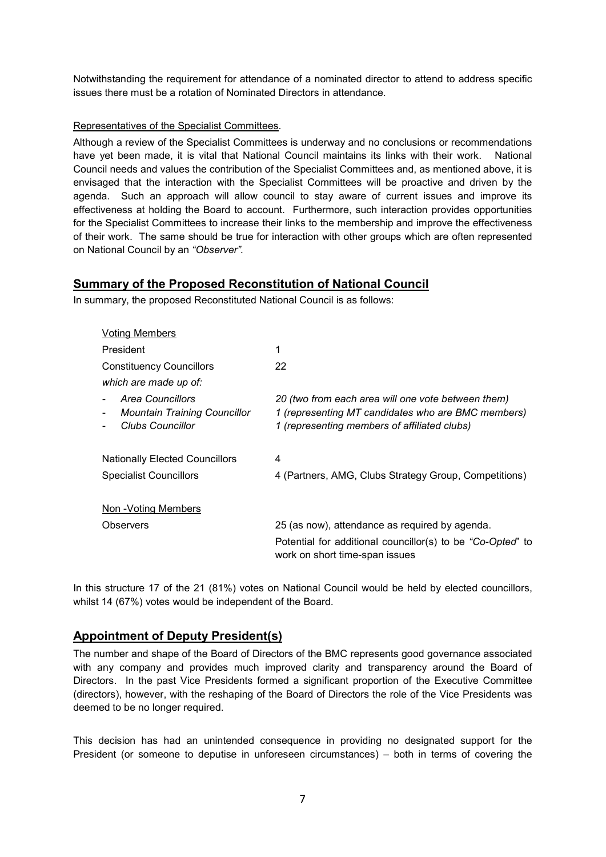Notwithstanding the requirement for attendance of a nominated director to attend to address specific issues there must be a rotation of Nominated Directors in attendance.

#### Representatives of the Specialist Committees.

Although a review of the Specialist Committees is underway and no conclusions or recommendations have yet been made, it is vital that National Council maintains its links with their work. National Council needs and values the contribution of the Specialist Committees and, as mentioned above, it is envisaged that the interaction with the Specialist Committees will be proactive and driven by the agenda. Such an approach will allow council to stay aware of current issues and improve its effectiveness at holding the Board to account. Furthermore, such interaction provides opportunities for the Specialist Committees to increase their links to the membership and improve the effectiveness of their work. The same should be true for interaction with other groups which are often represented on National Council by an "Observer".

# Summary of the Proposed Reconstitution of National Council

In summary, the proposed Reconstituted National Council is as follows:

| <b>Voting Members</b>                                                       |                                                                                                                                                          |
|-----------------------------------------------------------------------------|----------------------------------------------------------------------------------------------------------------------------------------------------------|
| President                                                                   | 1                                                                                                                                                        |
| <b>Constituency Councillors</b>                                             | 22                                                                                                                                                       |
| which are made up of:                                                       |                                                                                                                                                          |
| Area Councillors<br><b>Mountain Training Councillor</b><br>Clubs Councillor | 20 (two from each area will one vote between them)<br>1 (representing MT candidates who are BMC members)<br>1 (representing members of affiliated clubs) |
| <b>Nationally Elected Councillors</b>                                       | 4                                                                                                                                                        |
| <b>Specialist Councillors</b>                                               | 4 (Partners, AMG, Clubs Strategy Group, Competitions)                                                                                                    |
| Non -Voting Members                                                         |                                                                                                                                                          |
| Observers                                                                   | 25 (as now), attendance as required by agenda.                                                                                                           |
|                                                                             | Potential for additional councillor(s) to be "Co-Opted" to<br>work on short time-span issues                                                             |
|                                                                             |                                                                                                                                                          |

In this structure 17 of the 21 (81%) votes on National Council would be held by elected councillors, whilst 14 (67%) votes would be independent of the Board.

# Appointment of Deputy President(s)

The number and shape of the Board of Directors of the BMC represents good governance associated with any company and provides much improved clarity and transparency around the Board of Directors. In the past Vice Presidents formed a significant proportion of the Executive Committee (directors), however, with the reshaping of the Board of Directors the role of the Vice Presidents was deemed to be no longer required.

This decision has had an unintended consequence in providing no designated support for the President (or someone to deputise in unforeseen circumstances) – both in terms of covering the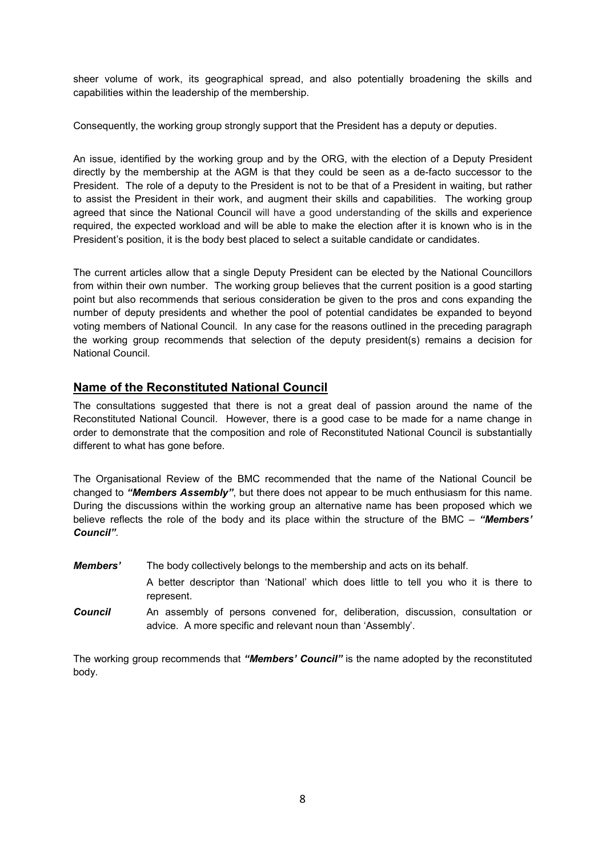sheer volume of work, its geographical spread, and also potentially broadening the skills and capabilities within the leadership of the membership.

Consequently, the working group strongly support that the President has a deputy or deputies.

An issue, identified by the working group and by the ORG, with the election of a Deputy President directly by the membership at the AGM is that they could be seen as a de-facto successor to the President. The role of a deputy to the President is not to be that of a President in waiting, but rather to assist the President in their work, and augment their skills and capabilities. The working group agreed that since the National Council will have a good understanding of the skills and experience required, the expected workload and will be able to make the election after it is known who is in the President's position, it is the body best placed to select a suitable candidate or candidates.

The current articles allow that a single Deputy President can be elected by the National Councillors from within their own number. The working group believes that the current position is a good starting point but also recommends that serious consideration be given to the pros and cons expanding the number of deputy presidents and whether the pool of potential candidates be expanded to beyond voting members of National Council. In any case for the reasons outlined in the preceding paragraph the working group recommends that selection of the deputy president(s) remains a decision for National Council.

# Name of the Reconstituted National Council

The consultations suggested that there is not a great deal of passion around the name of the Reconstituted National Council. However, there is a good case to be made for a name change in order to demonstrate that the composition and role of Reconstituted National Council is substantially different to what has gone before.

The Organisational Review of the BMC recommended that the name of the National Council be changed to "Members Assembly", but there does not appear to be much enthusiasm for this name. During the discussions within the working group an alternative name has been proposed which we believe reflects the role of the body and its place within the structure of the BMC – "Members' Council".

- Members' The body collectively belongs to the membership and acts on its behalf.
	- A better descriptor than 'National' which does little to tell you who it is there to represent.
- **Council** An assembly of persons convened for, deliberation, discussion, consultation or advice. A more specific and relevant noun than 'Assembly'.

The working group recommends that "Members' Council" is the name adopted by the reconstituted body.